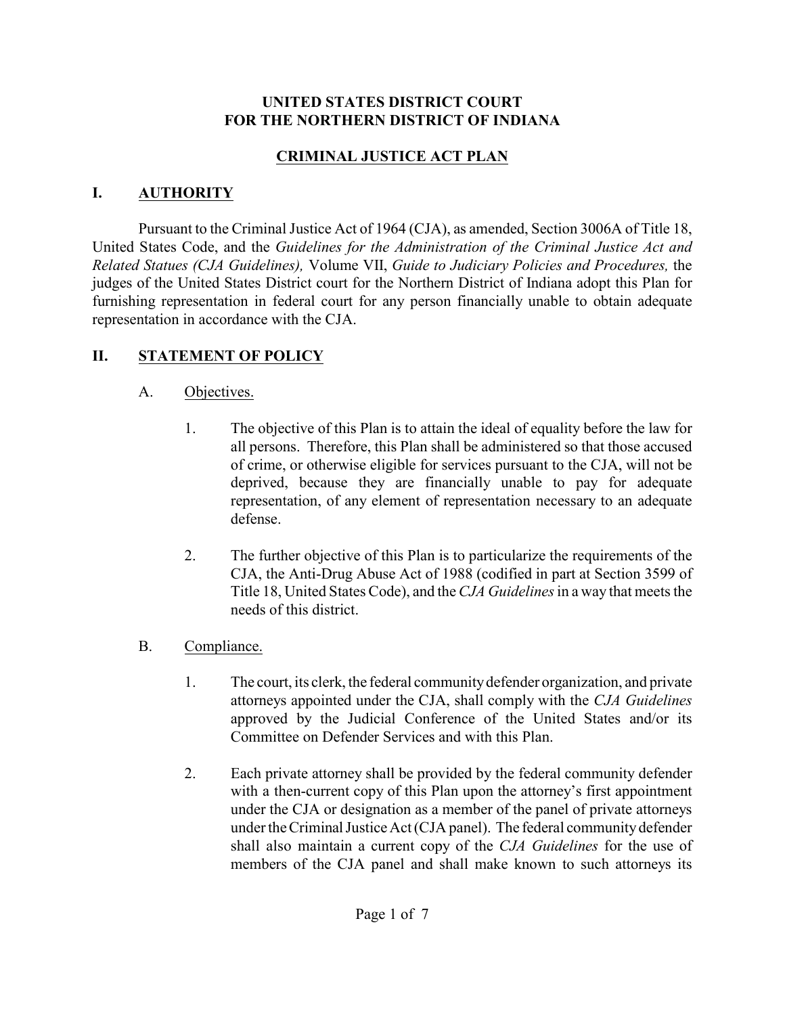### **UNITED STATES DISTRICT COURT FOR THE NORTHERN DISTRICT OF INDIANA**

## **CRIMINAL JUSTICE ACT PLAN**

## **I. AUTHORITY**

Pursuant to the Criminal Justice Act of 1964 (CJA), as amended, Section 3006A of Title 18, United States Code, and the *Guidelines for the Administration of the Criminal Justice Act and Related Statues (CJA Guidelines),* Volume VII, *Guide to Judiciary Policies and Procedures,* the judges of the United States District court for the Northern District of Indiana adopt this Plan for furnishing representation in federal court for any person financially unable to obtain adequate representation in accordance with the CJA.

# **II. STATEMENT OF POLICY**

## A. Objectives.

- 1. The objective of this Plan is to attain the ideal of equality before the law for all persons. Therefore, this Plan shall be administered so that those accused of crime, or otherwise eligible for services pursuant to the CJA, will not be deprived, because they are financially unable to pay for adequate representation, of any element of representation necessary to an adequate defense.
- 2. The further objective of this Plan is to particularize the requirements of the CJA, the Anti-Drug Abuse Act of 1988 (codified in part at Section 3599 of Title 18, United States Code), and the *CJA Guidelines* in a way that meets the needs of this district.
- B. Compliance.
	- 1. The court, its clerk, the federal communitydefender organization, and private attorneys appointed under the CJA, shall comply with the *CJA Guidelines* approved by the Judicial Conference of the United States and/or its Committee on Defender Services and with this Plan.
	- 2. Each private attorney shall be provided by the federal community defender with a then-current copy of this Plan upon the attorney's first appointment under the CJA or designation as a member of the panel of private attorneys under the Criminal Justice Act (CJA panel). The federal community defender shall also maintain a current copy of the *CJA Guidelines* for the use of members of the CJA panel and shall make known to such attorneys its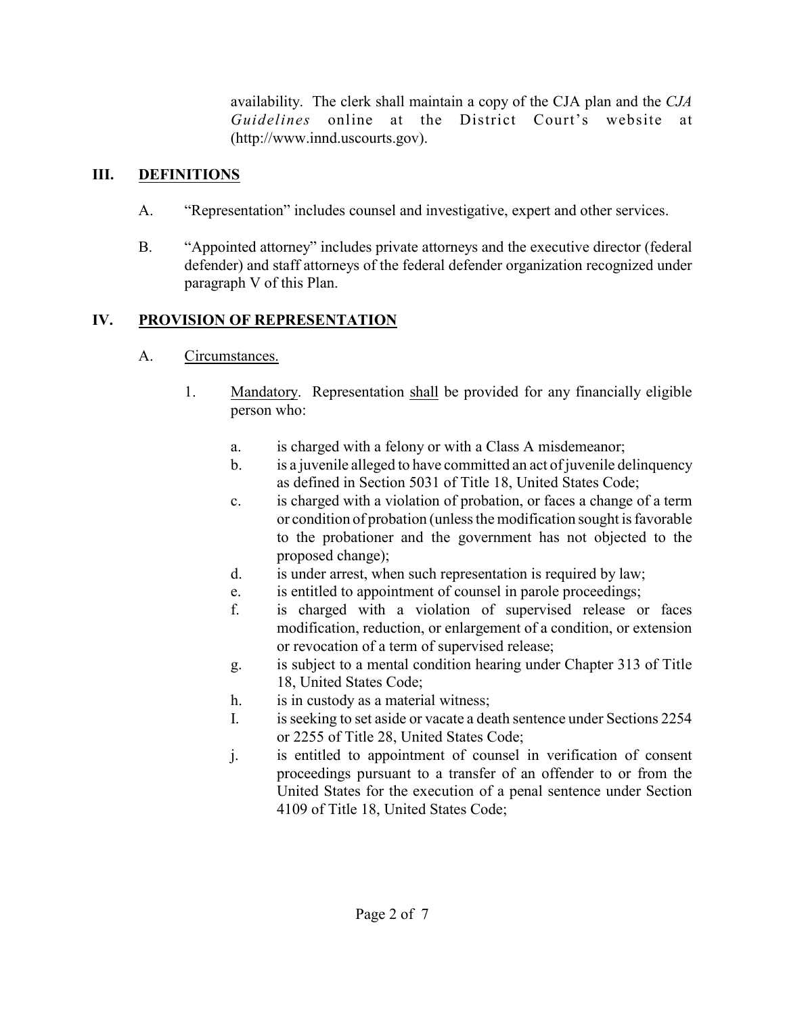availability. The clerk shall maintain a copy of the CJA plan and the *CJA Guidelines* online at the District Court's website at (http://www.innd.uscourts.gov).

### **III. DEFINITIONS**

- A. "Representation" includes counsel and investigative, expert and other services.
- B. "Appointed attorney" includes private attorneys and the executive director (federal defender) and staff attorneys of the federal defender organization recognized under paragraph V of this Plan.

## **IV. PROVISION OF REPRESENTATION**

- A. Circumstances.
	- 1. Mandatory. Representation shall be provided for any financially eligible person who:
		- a. is charged with a felony or with a Class A misdemeanor;
		- b. is a juvenile alleged to have committed an act of juvenile delinquency as defined in Section 5031 of Title 18, United States Code;
		- c. is charged with a violation of probation, or faces a change of a term or condition of probation (unless the modification sought is favorable to the probationer and the government has not objected to the proposed change);
		- d. is under arrest, when such representation is required by law;
		- e. is entitled to appointment of counsel in parole proceedings;
		- f. is charged with a violation of supervised release or faces modification, reduction, or enlargement of a condition, or extension or revocation of a term of supervised release;
		- g. is subject to a mental condition hearing under Chapter 313 of Title 18, United States Code;
		- h. is in custody as a material witness;
		- I. is seeking to set aside or vacate a death sentence under Sections 2254 or 2255 of Title 28, United States Code;
		- j. is entitled to appointment of counsel in verification of consent proceedings pursuant to a transfer of an offender to or from the United States for the execution of a penal sentence under Section 4109 of Title 18, United States Code;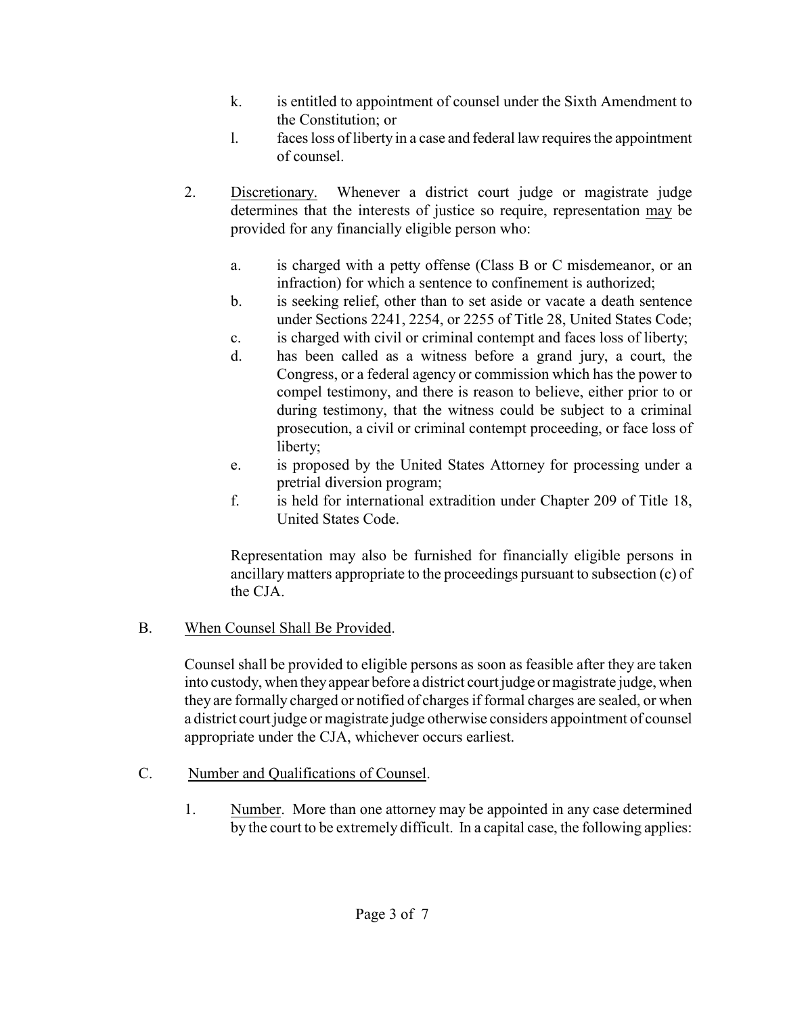- k. is entitled to appointment of counsel under the Sixth Amendment to the Constitution; or
- l. faces loss of liberty in a case and federal law requires the appointment of counsel.
- 2. Discretionary. Whenever a district court judge or magistrate judge determines that the interests of justice so require, representation may be provided for any financially eligible person who:
	- a. is charged with a petty offense (Class B or C misdemeanor, or an infraction) for which a sentence to confinement is authorized;
	- b. is seeking relief, other than to set aside or vacate a death sentence under Sections 2241, 2254, or 2255 of Title 28, United States Code;
	- c. is charged with civil or criminal contempt and faces loss of liberty;
	- d. has been called as a witness before a grand jury, a court, the Congress, or a federal agency or commission which has the power to compel testimony, and there is reason to believe, either prior to or during testimony, that the witness could be subject to a criminal prosecution, a civil or criminal contempt proceeding, or face loss of liberty;
	- e. is proposed by the United States Attorney for processing under a pretrial diversion program;
	- f. is held for international extradition under Chapter 209 of Title 18, United States Code.

Representation may also be furnished for financially eligible persons in ancillary matters appropriate to the proceedings pursuant to subsection (c) of the CJA.

## B. When Counsel Shall Be Provided.

Counsel shall be provided to eligible persons as soon as feasible after they are taken into custody, when theyappear before a district court judge or magistrate judge, when they are formally charged or notified of charges if formal charges are sealed, or when a district court judge or magistrate judge otherwise considers appointment of counsel appropriate under the CJA, whichever occurs earliest.

- C. Number and Qualifications of Counsel.
	- 1. Number. More than one attorney may be appointed in any case determined by the court to be extremely difficult. In a capital case, the following applies: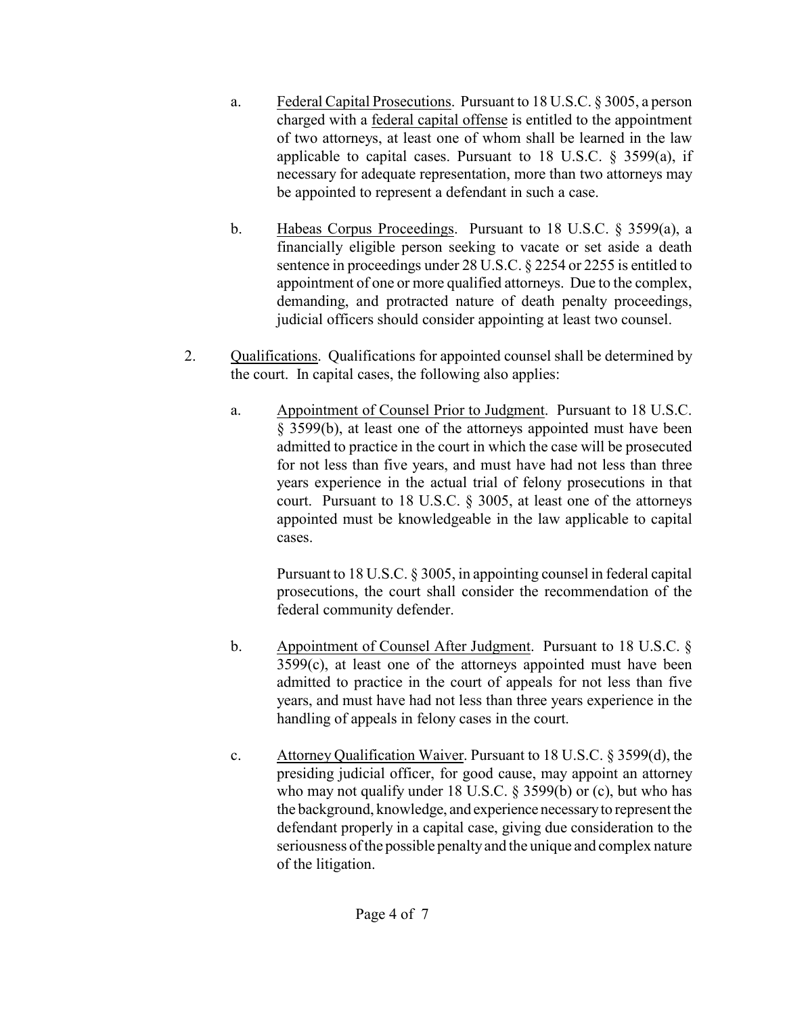- a. Federal Capital Prosecutions. Pursuant to 18 U.S.C. § 3005, a person charged with a federal capital offense is entitled to the appointment of two attorneys, at least one of whom shall be learned in the law applicable to capital cases. Pursuant to 18 U.S.C.  $\S$  3599(a), if necessary for adequate representation, more than two attorneys may be appointed to represent a defendant in such a case.
- b. Habeas Corpus Proceedings. Pursuant to 18 U.S.C. § 3599(a), a financially eligible person seeking to vacate or set aside a death sentence in proceedings under 28 U.S.C. § 2254 or 2255 is entitled to appointment of one or more qualified attorneys. Due to the complex, demanding, and protracted nature of death penalty proceedings, judicial officers should consider appointing at least two counsel.
- 2. Qualifications. Qualifications for appointed counsel shall be determined by the court. In capital cases, the following also applies:
	- a. Appointment of Counsel Prior to Judgment. Pursuant to 18 U.S.C. § 3599(b), at least one of the attorneys appointed must have been admitted to practice in the court in which the case will be prosecuted for not less than five years, and must have had not less than three years experience in the actual trial of felony prosecutions in that court. Pursuant to 18 U.S.C. § 3005, at least one of the attorneys appointed must be knowledgeable in the law applicable to capital cases.

Pursuant to 18 U.S.C. § 3005, in appointing counsel in federal capital prosecutions, the court shall consider the recommendation of the federal community defender.

- b. Appointment of Counsel After Judgment. Pursuant to 18 U.S.C. § 3599(c), at least one of the attorneys appointed must have been admitted to practice in the court of appeals for not less than five years, and must have had not less than three years experience in the handling of appeals in felony cases in the court.
- c. Attorney Qualification Waiver. Pursuant to 18 U.S.C. § 3599(d), the presiding judicial officer, for good cause, may appoint an attorney who may not qualify under 18 U.S.C. § 3599(b) or (c), but who has the background, knowledge, and experience necessary to represent the defendant properly in a capital case, giving due consideration to the seriousness of the possible penalty and the unique and complex nature of the litigation.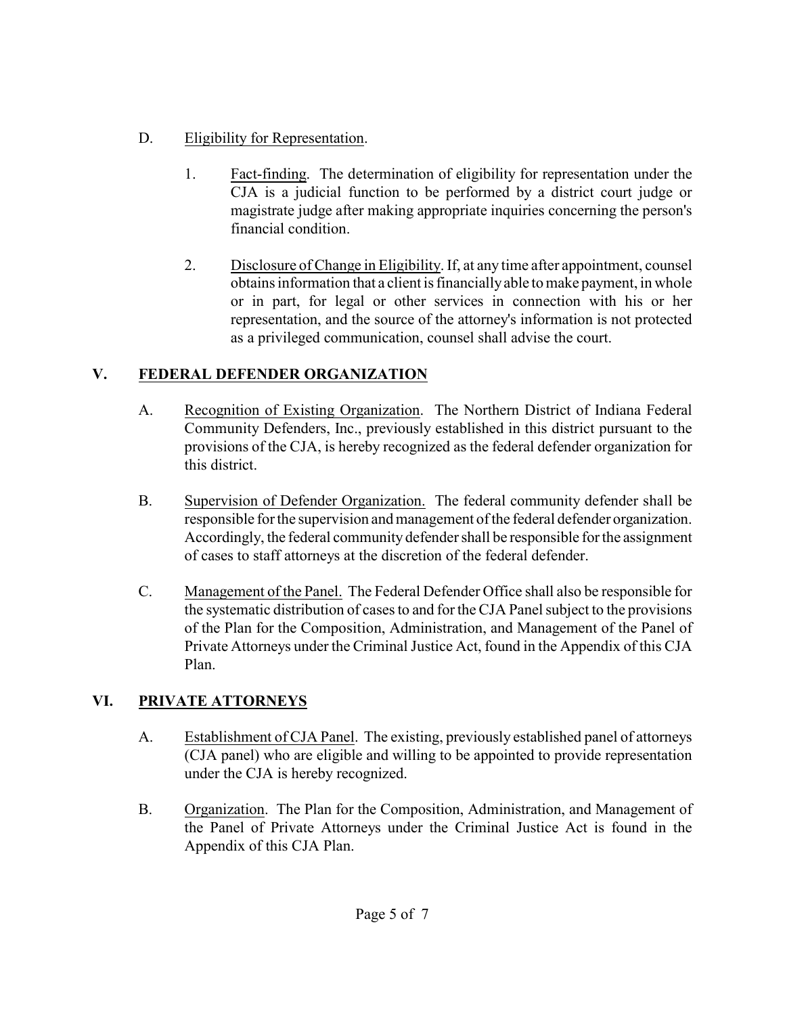## D. Eligibility for Representation.

- 1. Fact-finding. The determination of eligibility for representation under the CJA is a judicial function to be performed by a district court judge or magistrate judge after making appropriate inquiries concerning the person's financial condition.
- 2. Disclosure of Change in Eligibility. If, at any time after appointment, counsel obtains information that a client is financiallyable to make payment, in whole or in part, for legal or other services in connection with his or her representation, and the source of the attorney's information is not protected as a privileged communication, counsel shall advise the court.

# **V. FEDERAL DEFENDER ORGANIZATION**

- A. Recognition of Existing Organization. The Northern District of Indiana Federal Community Defenders, Inc., previously established in this district pursuant to the provisions of the CJA, is hereby recognized as the federal defender organization for this district.
- B. Supervision of Defender Organization. The federal community defender shall be responsible for the supervision and management of the federal defender organization. Accordingly, the federal community defender shall be responsible for the assignment of cases to staff attorneys at the discretion of the federal defender.
- C. Management of the Panel. The Federal Defender Office shall also be responsible for the systematic distribution of cases to and for the CJA Panel subject to the provisions of the Plan for the Composition, Administration, and Management of the Panel of Private Attorneys under the Criminal Justice Act, found in the Appendix of this CJA Plan.

# **VI. PRIVATE ATTORNEYS**

- A. Establishment of CJA Panel. The existing, previously established panel of attorneys (CJA panel) who are eligible and willing to be appointed to provide representation under the CJA is hereby recognized.
- B. Organization. The Plan for the Composition, Administration, and Management of the Panel of Private Attorneys under the Criminal Justice Act is found in the Appendix of this CJA Plan.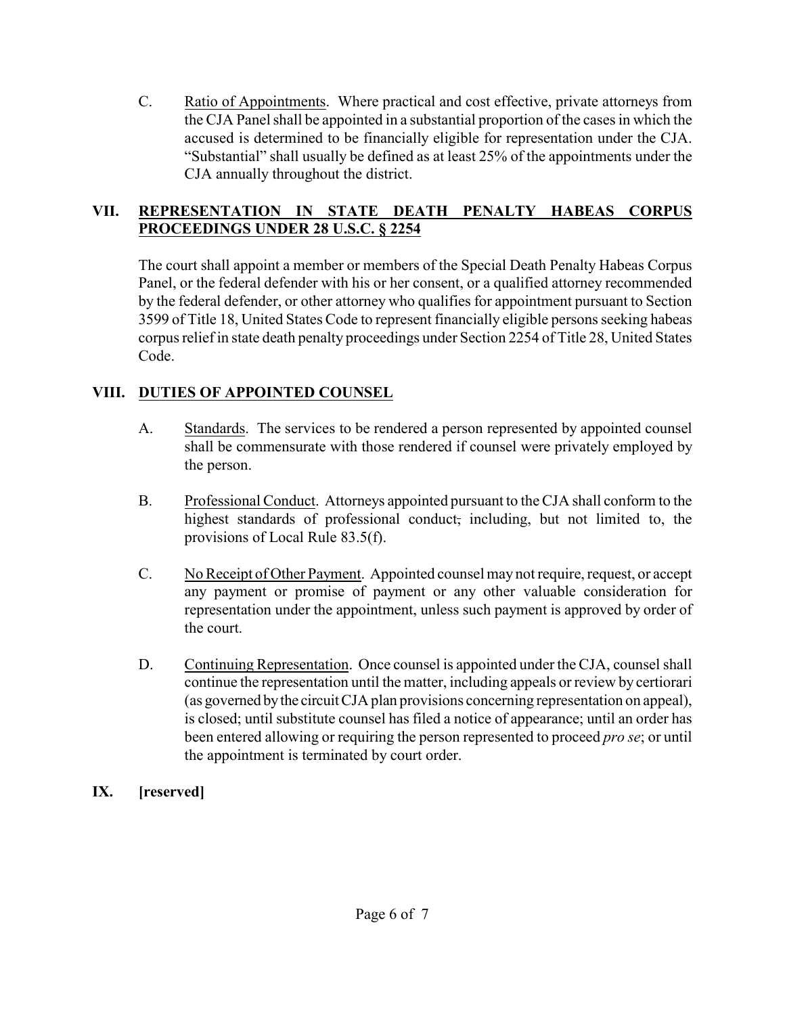C. Ratio of Appointments. Where practical and cost effective, private attorneys from the CJA Panel shall be appointed in a substantial proportion of the cases in which the accused is determined to be financially eligible for representation under the CJA. "Substantial" shall usually be defined as at least 25% of the appointments under the CJA annually throughout the district.

### **VII. REPRESENTATION IN STATE DEATH PENALTY HABEAS CORPUS PROCEEDINGS UNDER 28 U.S.C. § 2254**

The court shall appoint a member or members of the Special Death Penalty Habeas Corpus Panel, or the federal defender with his or her consent, or a qualified attorney recommended by the federal defender, or other attorney who qualifies for appointment pursuant to Section 3599 of Title 18, United States Code to represent financially eligible persons seeking habeas corpus relief in state death penalty proceedings under Section 2254 of Title 28, United States Code.

## **VIII. DUTIES OF APPOINTED COUNSEL**

- A. Standards. The services to be rendered a person represented by appointed counsel shall be commensurate with those rendered if counsel were privately employed by the person.
- B. Professional Conduct. Attorneys appointed pursuant to theCJA shall conform to the highest standards of professional conduct, including, but not limited to, the provisions of Local Rule 83.5(f).
- C. No Receipt of Other Payment. Appointed counsel may not require, request, or accept any payment or promise of payment or any other valuable consideration for representation under the appointment, unless such payment is approved by order of the court.
- D. Continuing Representation. Once counsel is appointed under the CJA, counsel shall continue the representation until the matter, including appeals or review by certiorari (as governed by the circuit CJA plan provisions concerning representation on appeal), is closed; until substitute counsel has filed a notice of appearance; until an order has been entered allowing or requiring the person represented to proceed *pro se*; or until the appointment is terminated by court order.

## **IX. [reserved]**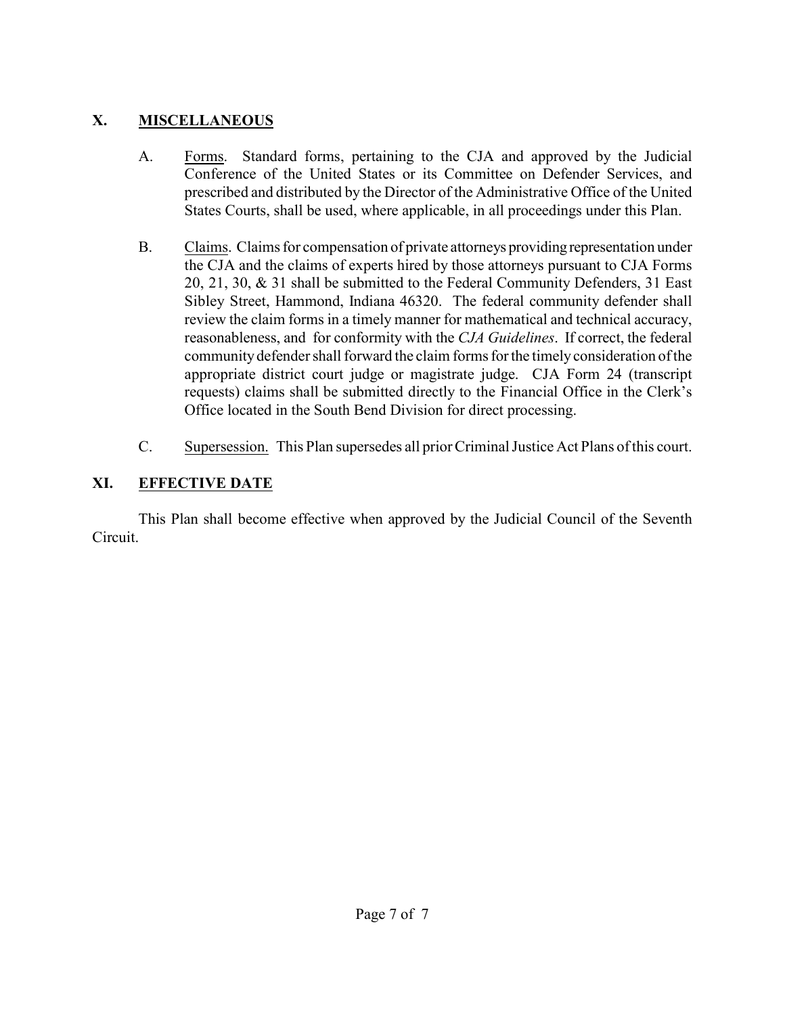## **X. MISCELLANEOUS**

- A. Forms. Standard forms, pertaining to the CJA and approved by the Judicial Conference of the United States or its Committee on Defender Services, and prescribed and distributed by the Director of the Administrative Office of the United States Courts, shall be used, where applicable, in all proceedings under this Plan.
- B. Claims. Claims for compensation of private attorneys providing representation under the CJA and the claims of experts hired by those attorneys pursuant to CJA Forms 20, 21, 30, & 31 shall be submitted to the Federal Community Defenders, 31 East Sibley Street, Hammond, Indiana 46320. The federal community defender shall review the claim forms in a timely manner for mathematical and technical accuracy, reasonableness, and for conformity with the *CJA Guidelines*. If correct, the federal community defender shall forward the claim forms for the timely consideration of the appropriate district court judge or magistrate judge. CJA Form 24 (transcript requests) claims shall be submitted directly to the Financial Office in the Clerk's Office located in the South Bend Division for direct processing.
- C. Supersession. This Plan supersedes all prior Criminal Justice Act Plans of this court.

## **XI. EFFECTIVE DATE**

This Plan shall become effective when approved by the Judicial Council of the Seventh Circuit.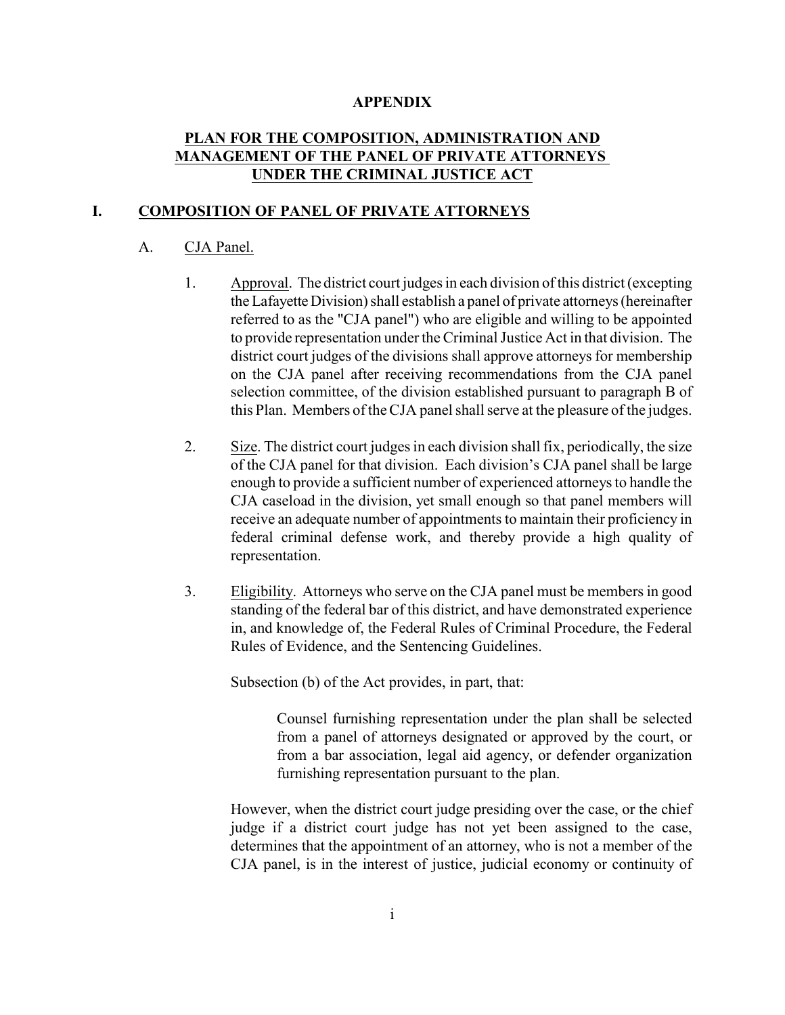#### **APPENDIX**

### **PLAN FOR THE COMPOSITION, ADMINISTRATION AND MANAGEMENT OF THE PANEL OF PRIVATE ATTORNEYS UNDER THE CRIMINAL JUSTICE ACT**

### **I. COMPOSITION OF PANEL OF PRIVATE ATTORNEYS**

#### A. CJA Panel.

- 1. Approval. The district court judges in each division of this district (excepting the Lafayette Division) shall establish a panel of private attorneys (hereinafter referred to as the "CJA panel") who are eligible and willing to be appointed to provide representation under the Criminal Justice Act in that division. The district court judges of the divisions shall approve attorneys for membership on the CJA panel after receiving recommendations from the CJA panel selection committee, of the division established pursuant to paragraph B of this Plan. Members of the CJA panel shall serve at the pleasure of the judges.
- 2. Size. The district court judges in each division shall fix, periodically, the size of the CJA panel for that division. Each division's CJA panel shall be large enough to provide a sufficient number of experienced attorneys to handle the CJA caseload in the division, yet small enough so that panel members will receive an adequate number of appointments to maintain their proficiency in federal criminal defense work, and thereby provide a high quality of representation.
- 3. Eligibility. Attorneys who serve on the CJA panel must be members in good standing of the federal bar of this district, and have demonstrated experience in, and knowledge of, the Federal Rules of Criminal Procedure, the Federal Rules of Evidence, and the Sentencing Guidelines.

Subsection (b) of the Act provides, in part, that:

Counsel furnishing representation under the plan shall be selected from a panel of attorneys designated or approved by the court, or from a bar association, legal aid agency, or defender organization furnishing representation pursuant to the plan.

However, when the district court judge presiding over the case, or the chief judge if a district court judge has not yet been assigned to the case, determines that the appointment of an attorney, who is not a member of the CJA panel, is in the interest of justice, judicial economy or continuity of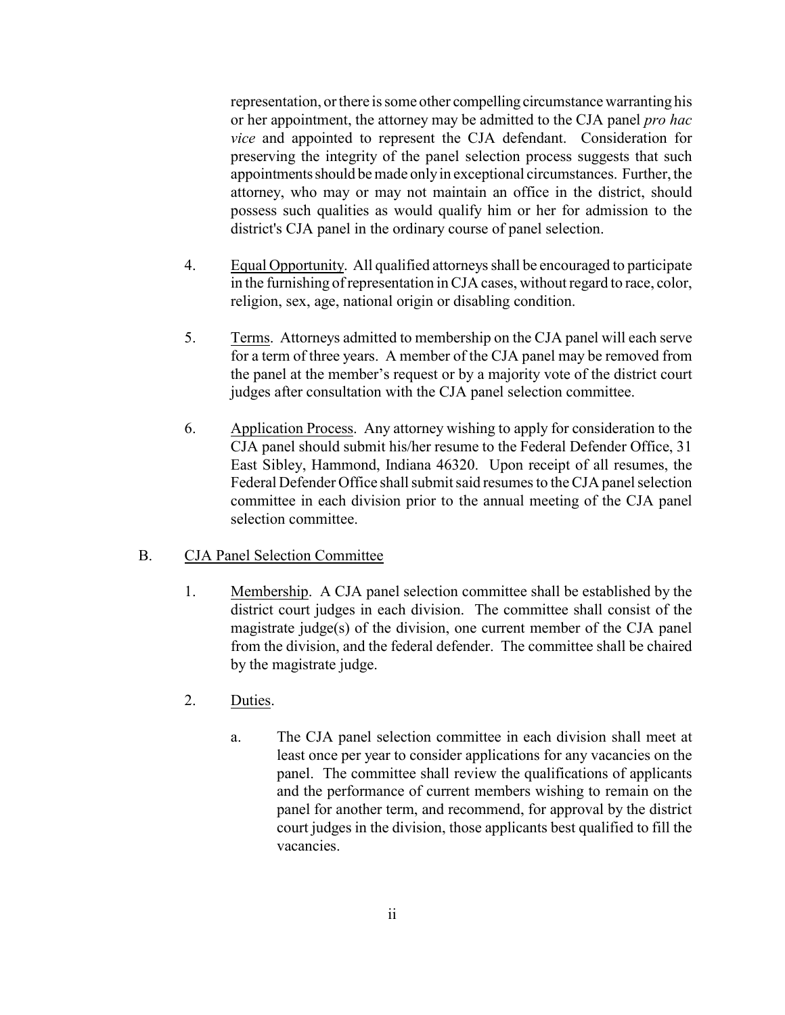representation, or there is some other compelling circumstance warranting his or her appointment, the attorney may be admitted to the CJA panel *pro hac vice* and appointed to represent the CJA defendant. Consideration for preserving the integrity of the panel selection process suggests that such appointments should be made only in exceptional circumstances. Further, the attorney, who may or may not maintain an office in the district, should possess such qualities as would qualify him or her for admission to the district's CJA panel in the ordinary course of panel selection.

- 4. Equal Opportunity. All qualified attorneys shall be encouraged to participate in the furnishing of representation in CJA cases, without regard to race, color, religion, sex, age, national origin or disabling condition.
- 5. Terms. Attorneys admitted to membership on the CJA panel will each serve for a term of three years. A member of the CJA panel may be removed from the panel at the member's request or by a majority vote of the district court judges after consultation with the CJA panel selection committee.
- 6. Application Process. Any attorney wishing to apply for consideration to the CJA panel should submit his/her resume to the Federal Defender Office, 31 East Sibley, Hammond, Indiana 46320. Upon receipt of all resumes, the Federal Defender Office shall submit said resumes to the CJA panel selection committee in each division prior to the annual meeting of the CJA panel selection committee.

### B. CJA Panel Selection Committee

- 1. Membership. A CJA panel selection committee shall be established by the district court judges in each division. The committee shall consist of the magistrate judge(s) of the division, one current member of the CJA panel from the division, and the federal defender. The committee shall be chaired by the magistrate judge.
- 2. Duties.
	- a. The CJA panel selection committee in each division shall meet at least once per year to consider applications for any vacancies on the panel. The committee shall review the qualifications of applicants and the performance of current members wishing to remain on the panel for another term, and recommend, for approval by the district court judges in the division, those applicants best qualified to fill the vacancies.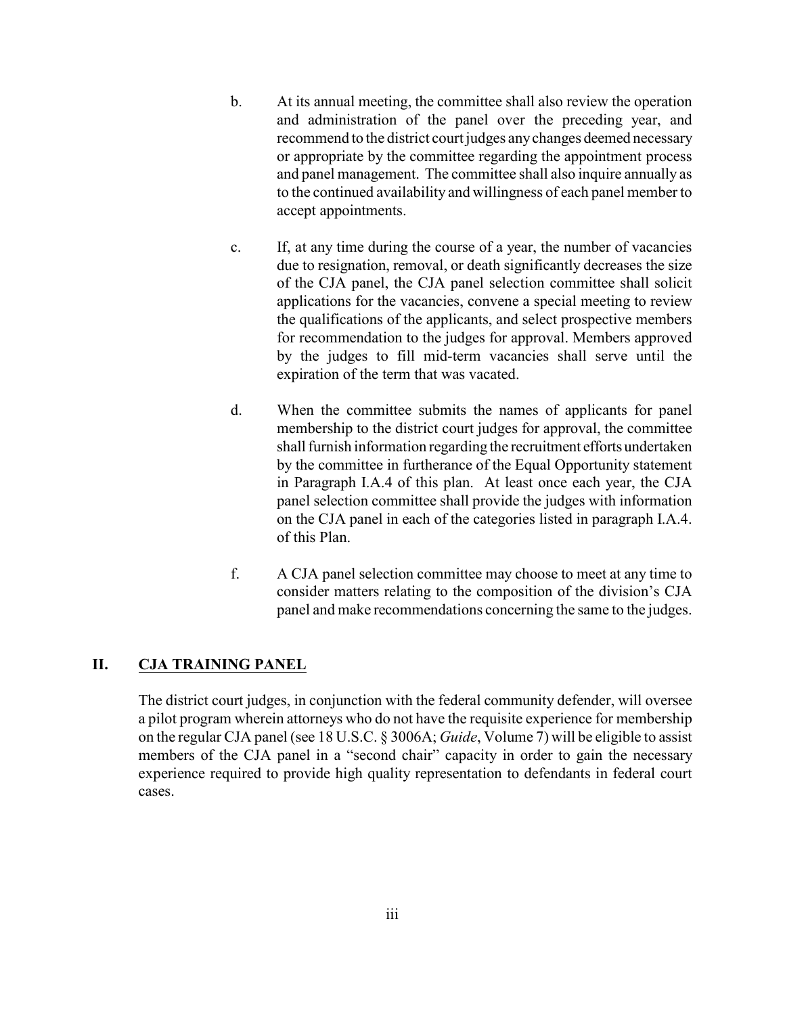- b. At its annual meeting, the committee shall also review the operation and administration of the panel over the preceding year, and recommend to the district court judges any changes deemed necessary or appropriate by the committee regarding the appointment process and panel management. The committee shall also inquire annually as to the continued availability and willingness of each panel member to accept appointments.
- c. If, at any time during the course of a year, the number of vacancies due to resignation, removal, or death significantly decreases the size of the CJA panel, the CJA panel selection committee shall solicit applications for the vacancies, convene a special meeting to review the qualifications of the applicants, and select prospective members for recommendation to the judges for approval. Members approved by the judges to fill mid-term vacancies shall serve until the expiration of the term that was vacated.
- d. When the committee submits the names of applicants for panel membership to the district court judges for approval, the committee shall furnish information regarding the recruitment efforts undertaken by the committee in furtherance of the Equal Opportunity statement in Paragraph I.A.4 of this plan. At least once each year, the CJA panel selection committee shall provide the judges with information on the CJA panel in each of the categories listed in paragraph I.A.4. of this Plan.
- f. A CJA panel selection committee may choose to meet at any time to consider matters relating to the composition of the division's CJA panel and make recommendations concerning the same to the judges.

### **II. CJA TRAINING PANEL**

The district court judges, in conjunction with the federal community defender, will oversee a pilot program wherein attorneys who do not have the requisite experience for membership on the regular CJA panel (see 18 U.S.C. § 3006A; *Guide*, Volume 7) will be eligible to assist members of the CJA panel in a "second chair" capacity in order to gain the necessary experience required to provide high quality representation to defendants in federal court cases.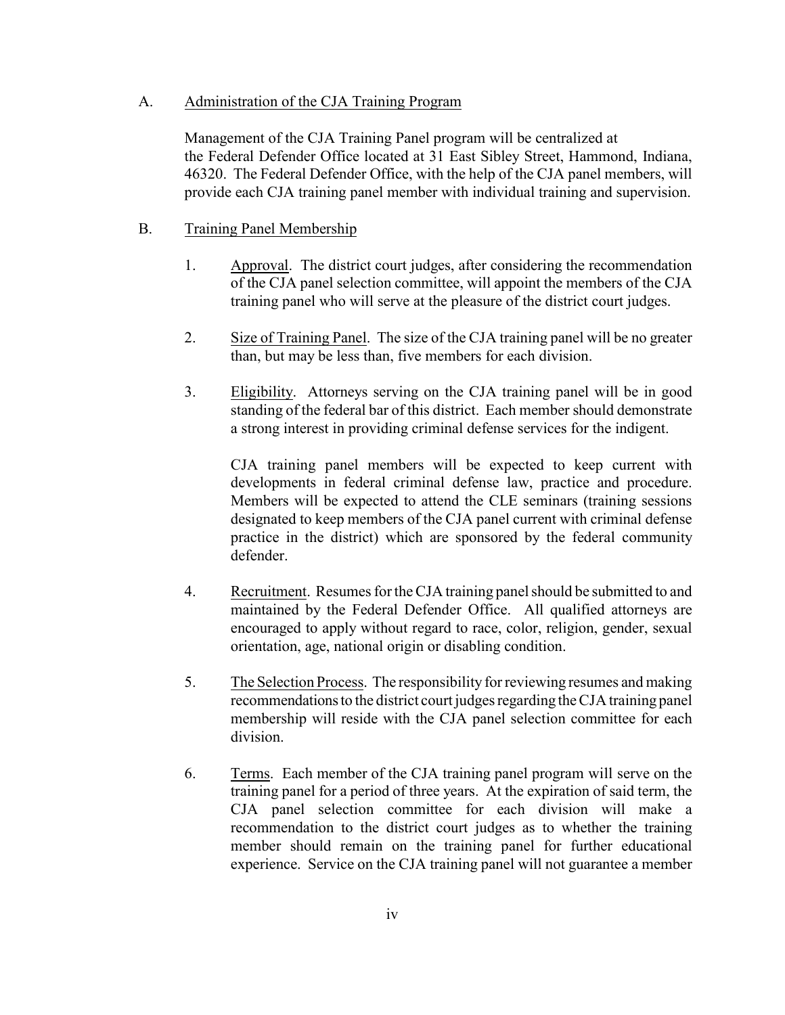#### A. Administration of the CJA Training Program

Management of the CJA Training Panel program will be centralized at the Federal Defender Office located at 31 East Sibley Street, Hammond, Indiana, 46320. The Federal Defender Office, with the help of the CJA panel members, will provide each CJA training panel member with individual training and supervision.

### B. Training Panel Membership

- 1. Approval. The district court judges, after considering the recommendation of the CJA panel selection committee, will appoint the members of the CJA training panel who will serve at the pleasure of the district court judges.
- 2. Size of Training Panel. The size of the CJA training panel will be no greater than, but may be less than, five members for each division.
- 3. Eligibility. Attorneys serving on the CJA training panel will be in good standing of the federal bar of this district. Each member should demonstrate a strong interest in providing criminal defense services for the indigent.

CJA training panel members will be expected to keep current with developments in federal criminal defense law, practice and procedure. Members will be expected to attend the CLE seminars (training sessions designated to keep members of the CJA panel current with criminal defense practice in the district) which are sponsored by the federal community defender.

- 4. Recruitment. Resumes for the CJA training panel should be submitted to and maintained by the Federal Defender Office. All qualified attorneys are encouraged to apply without regard to race, color, religion, gender, sexual orientation, age, national origin or disabling condition.
- 5. The Selection Process. The responsibility for reviewing resumes and making recommendations to the district court judges regarding the CJA training panel membership will reside with the CJA panel selection committee for each division.
- 6. Terms. Each member of the CJA training panel program will serve on the training panel for a period of three years. At the expiration of said term, the CJA panel selection committee for each division will make a recommendation to the district court judges as to whether the training member should remain on the training panel for further educational experience. Service on the CJA training panel will not guarantee a member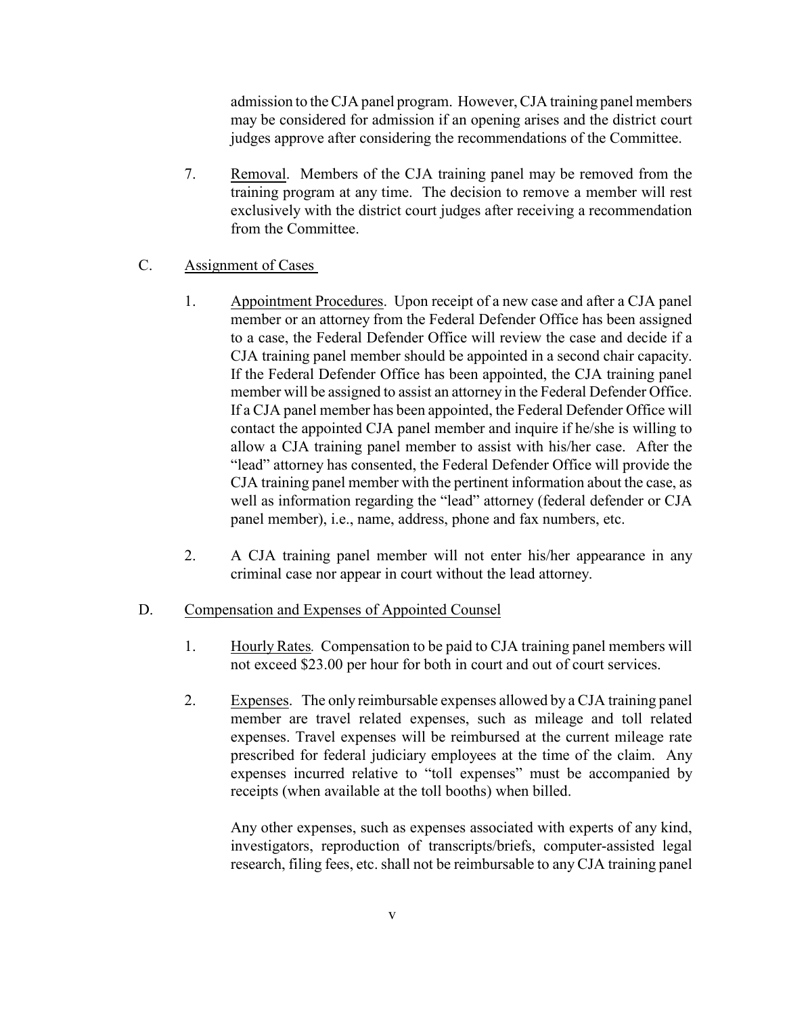admission to the CJA panel program. However, CJA training panel members may be considered for admission if an opening arises and the district court judges approve after considering the recommendations of the Committee.

- 7. Removal. Members of the CJA training panel may be removed from the training program at any time. The decision to remove a member will rest exclusively with the district court judges after receiving a recommendation from the Committee.
- C. Assignment of Cases
	- 1. Appointment Procedures. Upon receipt of a new case and after a CJA panel member or an attorney from the Federal Defender Office has been assigned to a case, the Federal Defender Office will review the case and decide if a CJA training panel member should be appointed in a second chair capacity. If the Federal Defender Office has been appointed, the CJA training panel member will be assigned to assist an attorney in the Federal Defender Office. If a CJA panel member has been appointed, the Federal Defender Office will contact the appointed CJA panel member and inquire if he/she is willing to allow a CJA training panel member to assist with his/her case. After the "lead" attorney has consented, the Federal Defender Office will provide the CJA training panel member with the pertinent information about the case, as well as information regarding the "lead" attorney (federal defender or CJA panel member), i.e., name, address, phone and fax numbers, etc.
	- 2. A CJA training panel member will not enter his/her appearance in any criminal case nor appear in court without the lead attorney.

### D. Compensation and Expenses of Appointed Counsel

- 1. Hourly Rates*.* Compensation to be paid to CJA training panel members will not exceed \$23.00 per hour for both in court and out of court services.
- 2. Expenses. The only reimbursable expenses allowed by a CJA training panel member are travel related expenses, such as mileage and toll related expenses. Travel expenses will be reimbursed at the current mileage rate prescribed for federal judiciary employees at the time of the claim. Any expenses incurred relative to "toll expenses" must be accompanied by receipts (when available at the toll booths) when billed.

Any other expenses, such as expenses associated with experts of any kind, investigators, reproduction of transcripts/briefs, computer-assisted legal research, filing fees, etc. shall not be reimbursable to any CJA training panel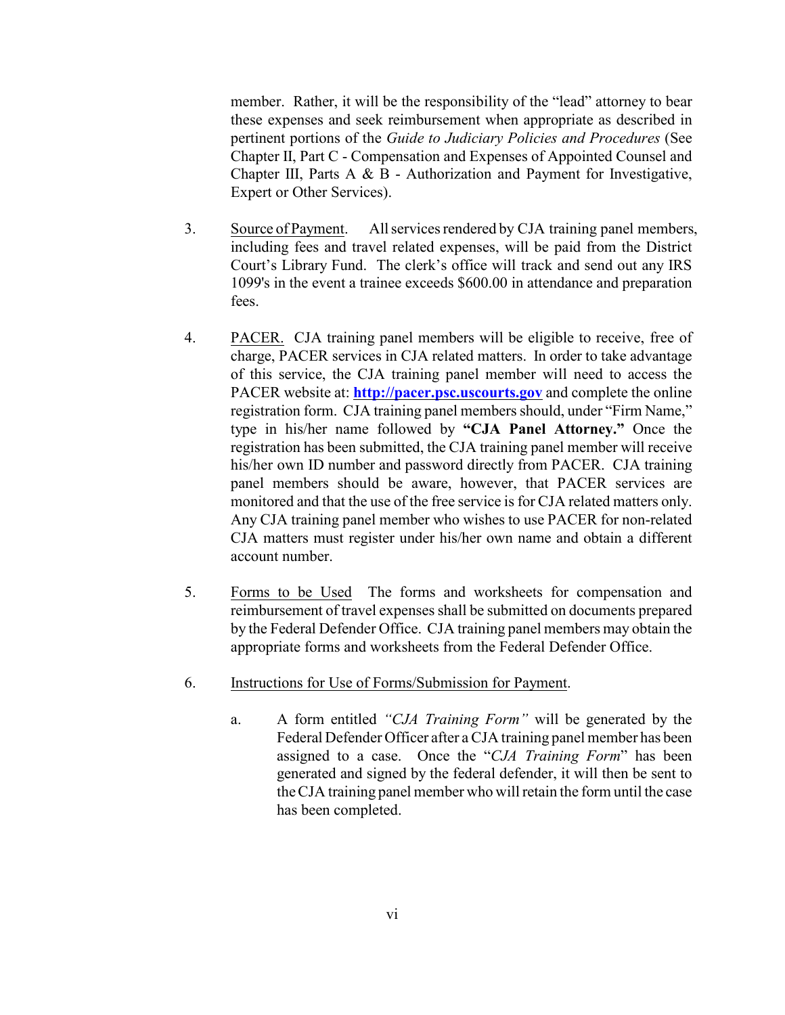member. Rather, it will be the responsibility of the "lead" attorney to bear these expenses and seek reimbursement when appropriate as described in pertinent portions of the *Guide to Judiciary Policies and Procedures* (See Chapter II, Part C - Compensation and Expenses of Appointed Counsel and Chapter III, Parts A & B - Authorization and Payment for Investigative, Expert or Other Services).

- 3. Source of Payment. All services rendered by CJA training panel members, including fees and travel related expenses, will be paid from the District Court's Library Fund. The clerk's office will track and send out any IRS 1099's in the event a trainee exceeds \$600.00 in attendance and preparation fees.
- 4. PACER. CJA training panel members will be eligible to receive, free of charge, PACER services in CJA related matters. In order to take advantage of this service, the CJA training panel member will need to access the PACER website at: **<http://pacer.psc.uscourts.gov>** and complete the online registration form. CJA training panel members should, under "Firm Name," type in his/her name followed by **"CJA Panel Attorney."** Once the registration has been submitted, the CJA training panel member will receive his/her own ID number and password directly from PACER. CJA training panel members should be aware, however, that PACER services are monitored and that the use of the free service is for CJA related matters only. Any CJA training panel member who wishes to use PACER for non-related CJA matters must register under his/her own name and obtain a different account number.
- 5. Forms to be Used The forms and worksheets for compensation and reimbursement of travel expenses shall be submitted on documents prepared by the Federal Defender Office. CJA training panel members may obtain the appropriate forms and worksheets from the Federal Defender Office.
- 6. Instructions for Use of Forms/Submission for Payment.
	- a. A form entitled *"CJA Training Form"* will be generated by the Federal Defender Officer after a CJA training panel member has been assigned to a case. Once the "*CJA Training Form*" has been generated and signed by the federal defender, it will then be sent to the CJA training panel member who will retain the form until the case has been completed.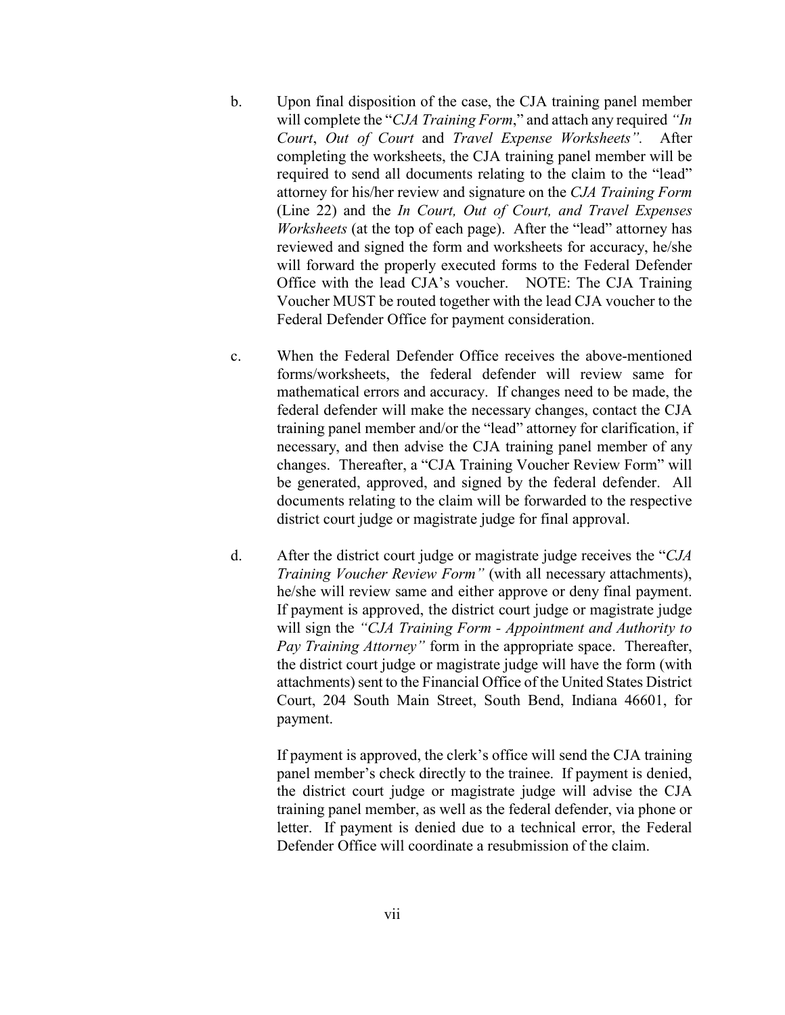b. Upon final disposition of the case, the CJA training panel member will complete the "*CJA Training Form*," and attach any required *"In Court*, *Out of Court* and *Travel Expense Worksheets".* After completing the worksheets, the CJA training panel member will be required to send all documents relating to the claim to the "lead" attorney for his/her review and signature on the *CJA Training Form* (Line 22) and the *In Court, Out of Court, and Travel Expenses Worksheets* (at the top of each page). After the "lead" attorney has reviewed and signed the form and worksheets for accuracy, he/she will forward the properly executed forms to the Federal Defender Office with the lead CJA's voucher. NOTE: The CJA Training Voucher MUST be routed together with the lead CJA voucher to the Federal Defender Office for payment consideration.

- c. When the Federal Defender Office receives the above-mentioned forms/worksheets, the federal defender will review same for mathematical errors and accuracy. If changes need to be made, the federal defender will make the necessary changes, contact the CJA training panel member and/or the "lead" attorney for clarification, if necessary, and then advise the CJA training panel member of any changes. Thereafter, a "CJA Training Voucher Review Form" will be generated, approved, and signed by the federal defender. All documents relating to the claim will be forwarded to the respective district court judge or magistrate judge for final approval.
- d. After the district court judge or magistrate judge receives the "*CJA Training Voucher Review Form"* (with all necessary attachments), he/she will review same and either approve or deny final payment. If payment is approved, the district court judge or magistrate judge will sign the *"CJA Training Form - Appointment and Authority to Pay Training Attorney"* form in the appropriate space. Thereafter, the district court judge or magistrate judge will have the form (with attachments) sent to the Financial Office of the United States District Court, 204 South Main Street, South Bend, Indiana 46601, for payment.

If payment is approved, the clerk's office will send the CJA training panel member's check directly to the trainee. If payment is denied, the district court judge or magistrate judge will advise the CJA training panel member, as well as the federal defender, via phone or letter. If payment is denied due to a technical error, the Federal Defender Office will coordinate a resubmission of the claim.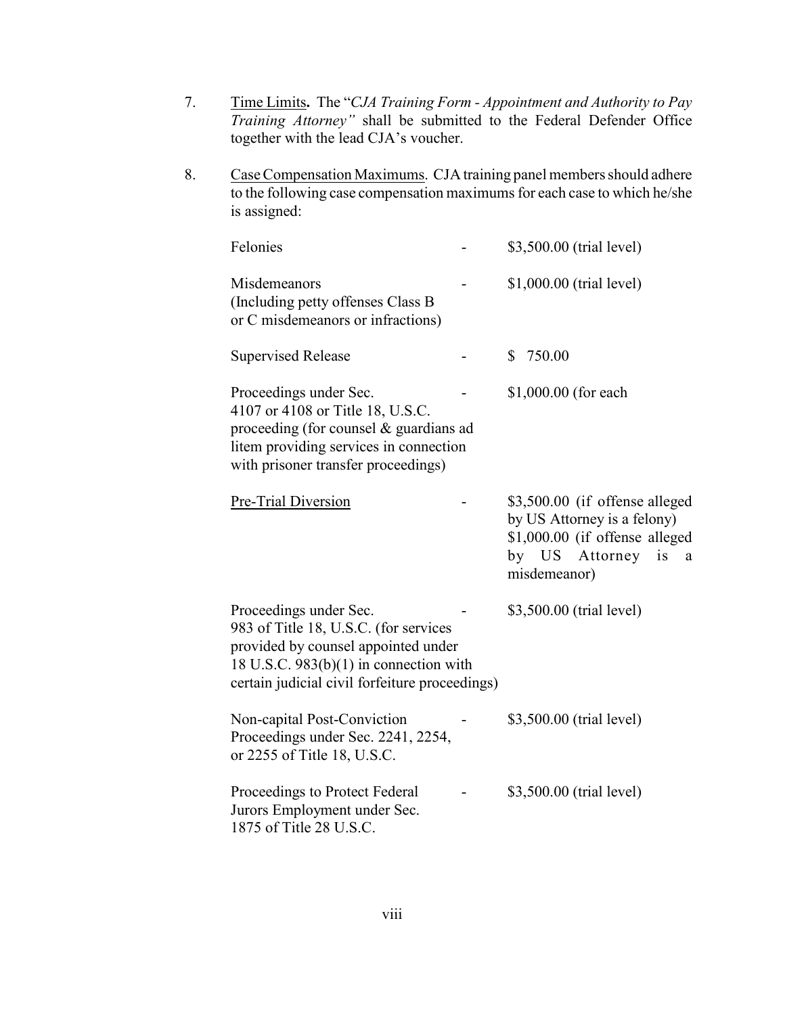- 7. Time Limits**.** The "*CJA Training Form Appointment and Authority to Pay Training Attorney"* shall be submitted to the Federal Defender Office together with the lead CJA's voucher.
- 8. Case Compensation Maximums. CJA training panel members should adhere to the following case compensation maximums for each case to which he/she is assigned:

| Felonies                                                                                                                                                                                             | \$3,500.00 (trial level)                                                                                                                  |
|------------------------------------------------------------------------------------------------------------------------------------------------------------------------------------------------------|-------------------------------------------------------------------------------------------------------------------------------------------|
| Misdemeanors<br>(Including petty offenses Class B<br>or C misdemeanors or infractions)                                                                                                               | \$1,000.00 (trial level)                                                                                                                  |
| <b>Supervised Release</b>                                                                                                                                                                            | 750.00<br>$\mathbb{S}$                                                                                                                    |
| Proceedings under Sec.<br>4107 or 4108 or Title 18, U.S.C.<br>proceeding (for counsel & guardians ad<br>litem providing services in connection<br>with prisoner transfer proceedings)                | \$1,000.00 (for each                                                                                                                      |
| Pre-Trial Diversion                                                                                                                                                                                  | \$3,500.00 (if offense alleged<br>by US Attorney is a felony)<br>\$1,000.00 (if offense alleged<br>by US Attorney is<br>a<br>misdemeanor) |
| Proceedings under Sec.<br>983 of Title 18, U.S.C. (for services<br>provided by counsel appointed under<br>18 U.S.C. $983(b)(1)$ in connection with<br>certain judicial civil forfeiture proceedings) | \$3,500.00 (trial level)                                                                                                                  |
| Non-capital Post-Conviction<br>Proceedings under Sec. 2241, 2254,<br>or 2255 of Title 18, U.S.C.                                                                                                     | \$3,500.00 (trial level)                                                                                                                  |
| Proceedings to Protect Federal<br>Jurors Employment under Sec.<br>1875 of Title 28 U.S.C.                                                                                                            | \$3,500.00 (trial level)                                                                                                                  |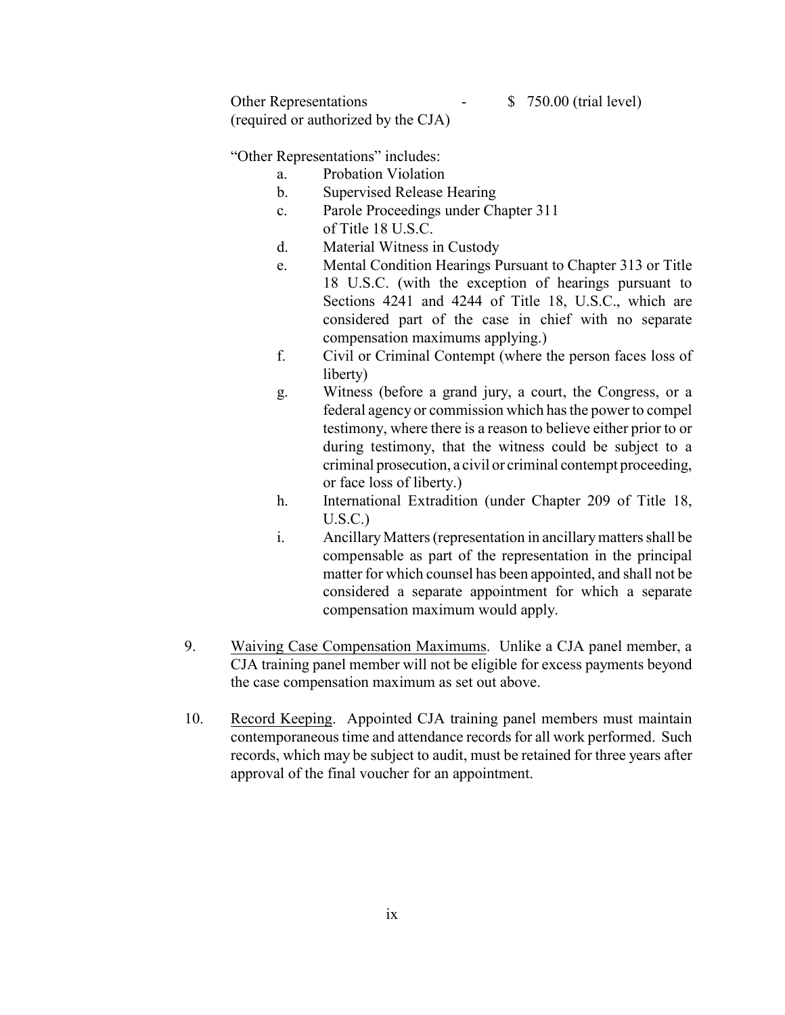Other Representations - \$ 750.00 (trial level) (required or authorized by the CJA)

"Other Representations" includes:

- a. Probation Violation
- b. Supervised Release Hearing
- c. Parole Proceedings under Chapter 311 of Title 18 U.S.C.
- d. Material Witness in Custody
- e. Mental Condition Hearings Pursuant to Chapter 313 or Title 18 U.S.C. (with the exception of hearings pursuant to Sections 4241 and 4244 of Title 18, U.S.C., which are considered part of the case in chief with no separate compensation maximums applying.)
- f. Civil or Criminal Contempt (where the person faces loss of liberty)
- g. Witness (before a grand jury, a court, the Congress, or a federal agency or commission which has the power to compel testimony, where there is a reason to believe either prior to or during testimony, that the witness could be subject to a criminal prosecution, a civil or criminal contempt proceeding, or face loss of liberty.)
- h. International Extradition (under Chapter 209 of Title 18,  $U.S.C.$
- i. AncillaryMatters (representation in ancillary matters shall be compensable as part of the representation in the principal matter for which counsel has been appointed, and shall not be considered a separate appointment for which a separate compensation maximum would apply.
- 9. Waiving Case Compensation Maximums. Unlike a CJA panel member, a CJA training panel member will not be eligible for excess payments beyond the case compensation maximum as set out above.
- 10. Record Keeping. Appointed CJA training panel members must maintain contemporaneous time and attendance records for all work performed. Such records, which may be subject to audit, must be retained for three years after approval of the final voucher for an appointment.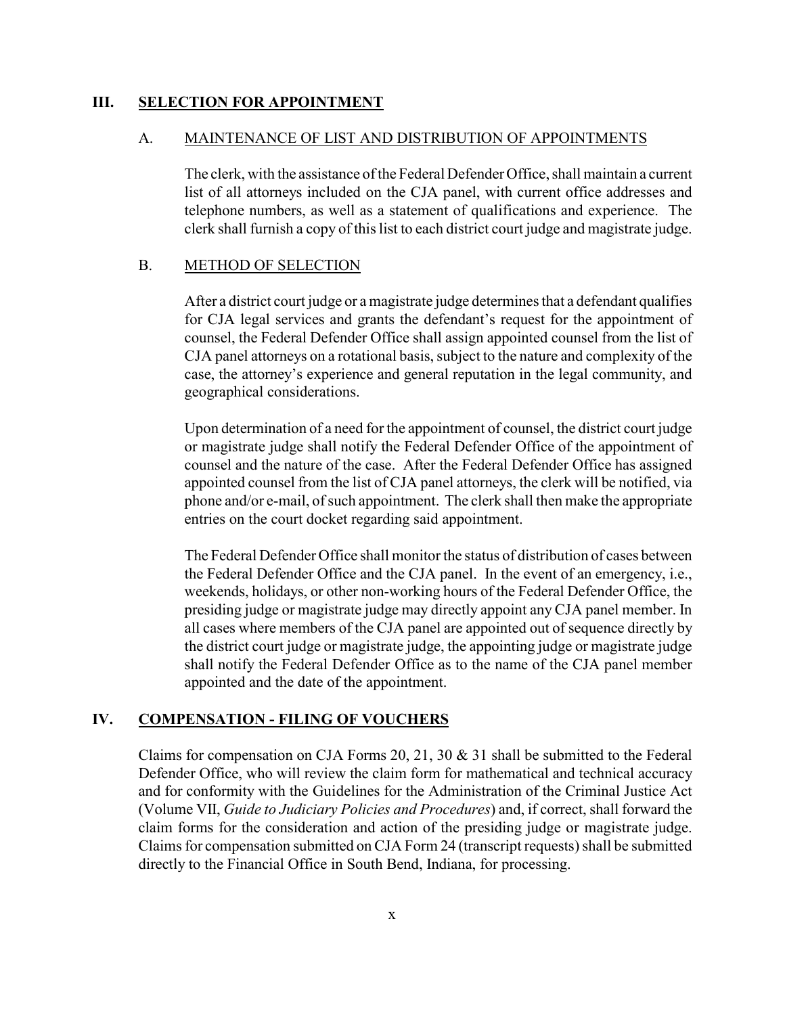#### **III. SELECTION FOR APPOINTMENT**

#### A. MAINTENANCE OF LIST AND DISTRIBUTION OF APPOINTMENTS

The clerk, with the assistance of the Federal Defender Office, shall maintain a current list of all attorneys included on the CJA panel, with current office addresses and telephone numbers, as well as a statement of qualifications and experience. The clerk shall furnish a copy of this list to each district court judge and magistrate judge.

#### B. METHOD OF SELECTION

After a district court judge or a magistrate judge determines that a defendant qualifies for CJA legal services and grants the defendant's request for the appointment of counsel, the Federal Defender Office shall assign appointed counsel from the list of CJA panel attorneys on a rotational basis, subject to the nature and complexity of the case, the attorney's experience and general reputation in the legal community, and geographical considerations.

Upon determination of a need for the appointment of counsel, the district court judge or magistrate judge shall notify the Federal Defender Office of the appointment of counsel and the nature of the case. After the Federal Defender Office has assigned appointed counsel from the list of CJA panel attorneys, the clerk will be notified, via phone and/or e-mail, ofsuch appointment. The clerk shall then make the appropriate entries on the court docket regarding said appointment.

The Federal Defender Office shall monitor the status of distribution of cases between the Federal Defender Office and the CJA panel. In the event of an emergency, i.e., weekends, holidays, or other non-working hours of the Federal Defender Office, the presiding judge or magistrate judge may directly appoint any CJA panel member. In all cases where members of the CJA panel are appointed out of sequence directly by the district court judge or magistrate judge, the appointing judge or magistrate judge shall notify the Federal Defender Office as to the name of the CJA panel member appointed and the date of the appointment.

### **IV. COMPENSATION - FILING OF VOUCHERS**

Claims for compensation on CJA Forms 20, 21, 30  $\&$  31 shall be submitted to the Federal Defender Office, who will review the claim form for mathematical and technical accuracy and for conformity with the Guidelines for the Administration of the Criminal Justice Act (Volume VII, *Guide to Judiciary Policies and Procedures*) and, if correct, shall forward the claim forms for the consideration and action of the presiding judge or magistrate judge. Claims for compensation submitted on CJA Form 24 (transcript requests) shall be submitted directly to the Financial Office in South Bend, Indiana, for processing.